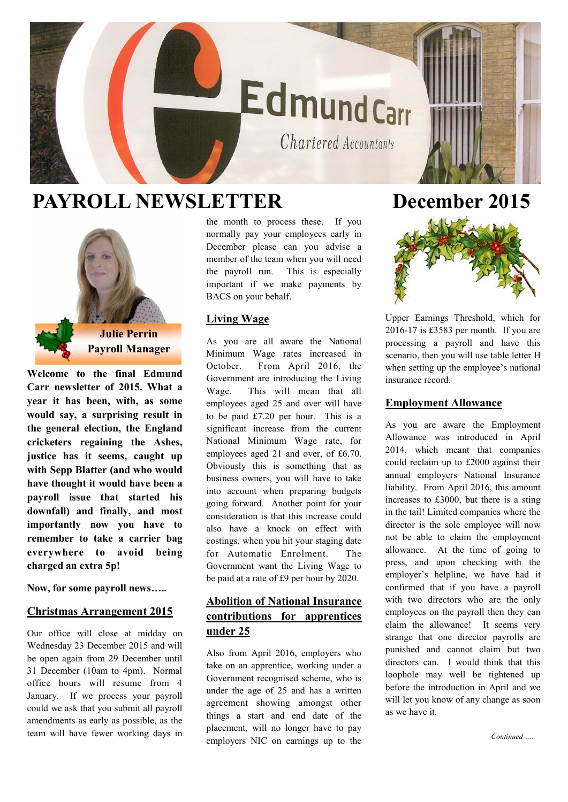# EdmundCarr

Chartered Accountants

## **PAYROLL NEWSLETTER December 2015**



**Welcome to the final Edmund Carr newsletter of 2015. What a year it has been, with, as some would say, a surprising result in the general election, the England cricketers regaining the Ashes, justice has it seems, caught up with Sepp Blatter (and who would have thought it would have been a payroll issue that started his downfall) and finally, and most importantly now you have to remember to take a carrier bag everywhere to avoid being charged an extra 5p!** 

**Now, for some payroll news…..**

#### **Christmas Arrangement 2015**

Our office will close at midday on Wednesday 23 December 2015 and will be open again from 29 December until 31 December (10am to 4pm). Normal office hours will resume from 4 January. If we process your payroll could we ask that you submit all payroll amendments as early as possible, as the team will have fewer working days in the month to process these. If you normally pay your employees early in December please can you advise a member of the team when you will need the payroll run. This is especially important if we make payments by BACS on your behalf.

#### **Living Wage**

As you are all aware the National Minimum Wage rates increased in October. From April 2016, the Government are introducing the Living Wage. This will mean that all employees aged 25 and over will have to be paid £7.20 per hour. This is a significant increase from the current National Minimum Wage rate, for employees aged 21 and over, of £6.70. Obviously this is something that as business owners, you will have to take into account when preparing budgets going forward. Another point for your consideration is that this increase could also have a knock on effect with costings, when you hit your staging date for Automatic Enrolment. The Government want the Living Wage to be paid at a rate of £9 per hour by 2020.

### **Abolition of National Insurance contributions for apprentices under 25**

Also from April 2016, employers who take on an apprentice, working under a Government recognised scheme, who is under the age of 25 and has a written agreement showing amongst other things a start and end date of the placement, will no longer have to pay employers NIC on earnings up to the



Upper Earnings Threshold, which for 2016-17 is £3583 per month. If you are processing a payroll and have this scenario, then you will use table letter H when setting up the employee's national insurance record.

#### **Employment Allowance**

As you are aware the Employment Allowance was introduced in April 2014, which meant that companies could reclaim up to £2000 against their annual employers National Insurance liability. From April 2016, this amount increases to £3000, but there is a sting in the tail! Limited companies where the director is the sole employee will now not be able to claim the employment allowance. At the time of going to press, and upon checking with the employer's helpline, we have had it confirmed that if you have a payroll with two directors who are the only employees on the payroll then they can claim the allowance! It seems very strange that one director payrolls are punished and cannot claim but two directors can. I would think that this loophole may well be tightened up before the introduction in April and we will let you know of any change as soon as we have it.